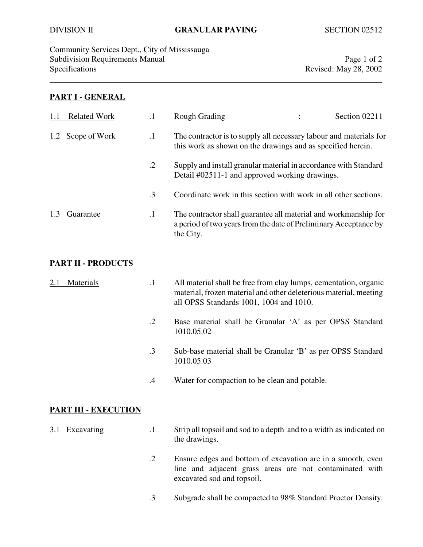Community Services Dept., City of Mississauga Subdivision Requirements Manual Page 1 of 2 Specifications Revised: May 28, 2002

#### **PART I - GENERAL**

| <b>Related Work</b> |           | Rough Grading                                                                                                                                    | Section 02211 |
|---------------------|-----------|--------------------------------------------------------------------------------------------------------------------------------------------------|---------------|
| Scope of Work       | $\cdot$   | The contractor is to supply all necessary labour and materials for<br>this work as shown on the drawings and as specified herein.                |               |
|                     | $\cdot$ 2 | Supply and install granular material in accordance with Standard<br>Detail #02511-1 and approved working drawings.                               |               |
|                     | .3        | Coordinate work in this section with work in all other sections.                                                                                 |               |
| Guarantee           | $\cdot$   | The contractor shall guarantee all material and workmanship for<br>a period of two years from the date of Preliminary Acceptance by<br>the City. |               |

### **PART II - PRODUCTS**

| 2.1 Materials | All material shall be free from clay lumps, cementation, organic  |
|---------------|-------------------------------------------------------------------|
|               | material, frozen material and other deleterious material, meeting |
|               | all OPSS Standards 1001, 1004 and 1010.                           |

- .2 Base material shall be Granular 'A' as per OPSS Standard 1010.05.02
- .3 Sub-base material shall be Granular 'B' as per OPSS Standard 1010.05.03
- .4 Water for compaction to be clean and potable.

#### **PART III - EXECUTION**

- 3.1 Excavating .1 Strip all topsoil and sod to a depth and to a width as indicated on the drawings.
	- .2 Ensure edges and bottom of excavation are in a smooth, even line and adjacent grass areas are not contaminated with excavated sod and topsoil.
	- .3 Subgrade shall be compacted to 98% Standard Proctor Density.